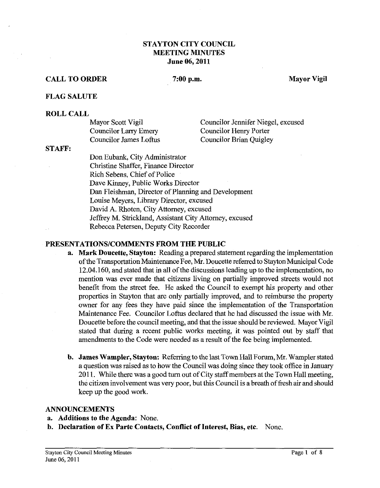## **STAYTON CITY couNcn MEETING MINUTES June 06,2011**

## **CALL TO ORDER** 7:00 p.m. Mayor Vigil

#### **FLAG SALUTE**

#### **ROLL CALL**

| Mayor Scott Vigil            | Councilor Jennifer Niegel, excused |
|------------------------------|------------------------------------|
| <b>Councilor Larry Emery</b> | Councilor Henry Porter             |
| Councilor James Loftus       | Councilor Brian Quigley            |

#### **STAFF:**

Don Eubank, City Administrator Christine Shaffer, Finance Director Rich Sebens, Chief of Police Dave Kinney, Public Works Director Dan Fleishman, Director of Planning and Development Louise Meyers, Library Director, excused David A. Rhoten, City Attorney, excused Jeffrey M. Strickland, Assistant City Attorney, excused Rebecca Petersen, Deputy City Recorder

#### **PRESENTATIONSICOMMENTS FROM THE PUBLIC**

- **a. Mark Doucette, Stayton:** Readimg a prepared statement regardimg the implementation of the Transportation Maintenance Fee, Mr. Doucette referred to Stayton Municipal Code 12.04.160, and stated that in all of the discussions leadimg up to the implementation, no mention was ever made that citizens living on partially improved streets would not benefit from the street fee. He asked the Council to exempt his property and other properties in Stayton that are only partially improved, and to reimburse the property owner for any fees they have paid since the implementation of the Transportation Maintenance Fee. Councilor Loftus declared that he had discussed the issue with Mr. Doucette before the council meeting, and that the issue should be reviewed. Mayor Vigil stated that during a recent public works meeting, it was pointed out by staff that amendments to the Code were needed as a result of the fee being implemented.
- **b. James Wampler, Stayton:** Referring to the last Town Hall Forum, Mr. Wampler stated a question was raised as to how the Council was doing since they took office in January 2011. While there was a good turn out of City staff members at the Town Hall meeting, the citizen involvement was very poor, but this Council is a breath of fresh air and should keep up the good work.

#### **ANNOUNCEMENTS**

- **a. Additions to the Agenda:** None.
- **b. Declaration of Ex Parte Contacts, Conflict of Interest, Bias, etc.** None.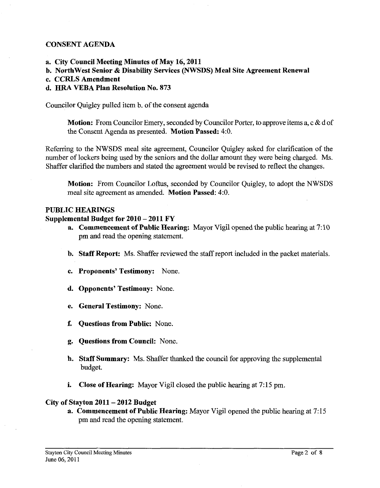## CONSENT AGENDA

- a. City Council Meeting Minutes of May 16,2011
- b. NorthWest Senior & Disability Services (NWSDS) Meal Site Agreement Renewal
- c. CCRLS Amendment

# d. **HRA** VEBA Plan Resolution No. 873

Councilor Quigley pulled item b. of the consent agenda

Motion: From Councilor Emery, seconded by Councilor Porter, to approve items **a,** c & d of the Consent Agenda as presented. Motion Passed: 4:O.

Referring to the NWSDS meal site agreement, Councilor Quigley asked for clarification of the number of lockers being used by the seniors and the dollar amount they were being charged. Ms. Shaffer clarified the numbers and stated the agreement would be revised to reflect the changes.

Motion: From Councilor Loftus, seconded by Councilor Quigley, to adopt the NWSDS meal site agreement as amended. Motion Passed: **4:O.** 

## PUBLIC HEARINGS

## Supplemental Budget for 2010 - 2011 FY

- a. Commencement of Public Hearing: Mayor Vigil opened the public hearing at 7:10 pm and read the opening statement.
- b. Staff Report: Ms. Shaffer reviewed the staff report included in the packet materials.
- c. Proponents' Testimony: None
- d. Opponents' Testimony: None.
- e. General Testimony: None.
- f. Questions from Public: None.
- g. Questions from Council: None.
- h. Staff Summary: Ms. Shaffer thanked the council for approving the supplemental budget.
- i. Close of Hearing: Mayor Vigil closed the public hearing at 7:15 pm.

## City of Stayton 2011 - 2012 Budget

a. Commencement of Public Hearing: Mayor Vigil opened the public hearing at 7:15 pm and read the opening statement.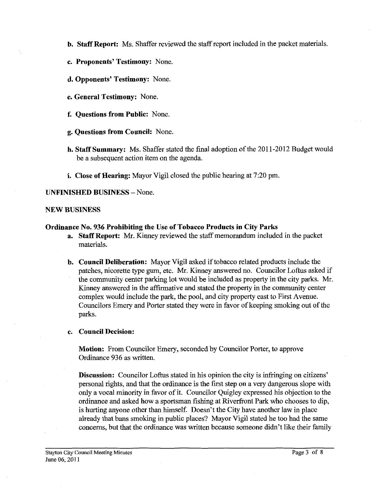- **b. Staff Report:** Ms. Shaffer reviewed the staff report included in the packet materials.
- **c. Proponents' Testimony:** None.
- **d. Opponents' Testimony:** None.
- **e. General Testimony:** None.
- **f. Questions from Public:** None.
- **g. Questions from Council:** None.
- **h. Staff Summary:** Ms. Shaffer stated the fmal adoption of the 201 1-2012 Budget would be a subsequent action item on the agenda.
- **i. Close of Hearing:** Mayor Vigil closed the public hearing at 7:20 pm.

## **UNFINISHED BUSINESS** - None.

#### **NEW BUSINESS**

## **Ordinance No. 936 Prohibiting the Use of Tobacco Products in City Parks**

- **a. Staff Report: Mr.** Kinney reviewed the staff memorandum included in the packet materials.
- **b. Council Deliberation:** Mayor Vigil asked if tobacco related products include the patches, nicorette type gum, etc. Mr. Kinney answered no. Councilor Loftus asked if the community center parking lot would be included as property in the city parks. Mr. Kinney answered in the affirmative and stated the property in the community center complex would include the park, the pool, and city property east to First Avenue. Councilors Emery and Porter stated they were in favor of keeping smoking out of the parks.

## **c. Council Decision:**

**Motion:** From Councilor Emery, seconded by Councilor Porter, to approve Ordinance 936 as Written.

**Discussion:** Councilor Loftus stated in his opinion the city is infringing on citizens' personal rights, and that the ordinance is the first step on a very dangerous slope with only a vocal minority in favor of it. Councilor Quigley expressed his objection to the ordinance and asked how a sportsman fishing at Riverfront Park who chooses to dip, is hurting anyone other than himself. Doesn't the City have another law in place already that bans smoking in public places? Mayor Vigil stated he too had the same concerns, but that the ordinance was written because someone didn't like their family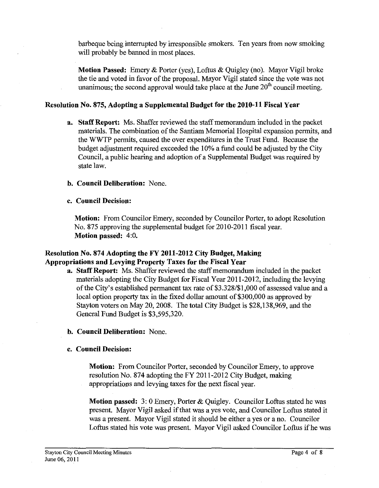barbeque being interrupted by irresponsible smokers. Ten years from now smoking will probably be banned in most places.

**Motion Passed:** Emery & Porter (yes), Loftus & Quigley (no). Mayor Vigil broke the tie and voted in favor of the proposal. Mayor Vigil stated since the vote was not unanimous; the second approval would take place at the June  $20<sup>th</sup>$  council meeting.

## **Resolution No. 875, Adopting a Supplemental Budget for the 2010-11 Fiscal Year**

- **a. Staff Report:** Ms. Shaffer reviewed the staff memorandum included in the packet materials. The combination of the Santiam Memorial Hospital expansion permits, and the WWTP permits, caused the over expenditures in the Trust Fund. Because the budget adjustment required exceeded the 10% a fund could be adjusted by the City Council, a public hearing and adoption of a Supplemental Budget was required by state law.
- **b. Council Deliberation:** None.
- **c. Council Decision:**

**Motion:** From Councilor Emery, seconded by Councilor Porter, to adopt Resolution No. 875 approving the supplemental budget for 2010-2011 fiscal year. **Motion passed:** 4:O.

# **Resolution No. 874 Adopting the FY 2011-2012 City Budget, Making Appropriations and Levying Property Taxes for the Fiscal Year**

- **a. Staff Report:** Ms. Shaffer reviewed the staff memorandum included in the packet materials adopting the City Budget for Fiscal Year 2011-2012, including the levying of the City's established permanent tax rate of \$3.328/\$1,000 of assessed value and a local option property tax in the fixed dollar amount of \$300,000 as approved by Stayton voters on May 20,2008. The total City Budget is \$28,138,969, and the General Fund Budget is \$3,595,320.
- **b. Council Deliberation:** None.

## **c. Council Decision:**

**Motion:** From Councilor Porter, seconded by Councilor Emery, to approve resolution No. 874 adopting the FY 201 1-2012 City Budget, making appropriations and levying taxes for the next fiscal year.

**Motion passed:** 3: 0 Emery, Porter & Quigley. Councilor Loftus stated he was present. Mayor Vigil asked if that was a yes vote, and Councilor Loftus stated it was a present. Mayor Vigil stated it should be either a yes or a no. Councilor Loftus stated his vote was present. Mayor Vigil asked Councilor Loftus if he was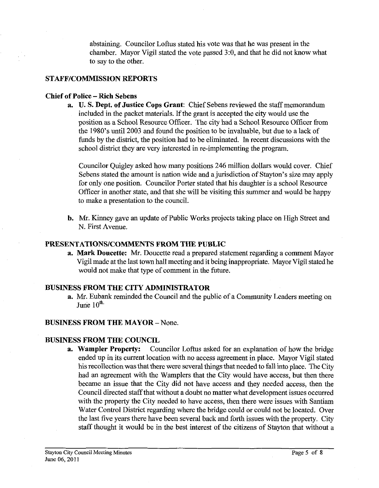abstaining. Councilor Loftus stated his vote was that he was present in the chamber. Mayor Vigil stated the vote passed 3:0, and that he did not know what to say to the other.

## **STAFF/COMMISSION REPORTS**

## **Chief of Police -Rich Sebens**

**a. U. S. Dept. of Justice Cops Grant:** Chief Sebens reviewed the staff memorandum included in the packet materials. If the grant is accepted the city would use the position as a School Resource Officer. The city had a School Resource Officer from the 1980's until 2003 and found the position to be invaluable, but due to a lack of funds by the district, the position had to be eliminated. In recent discussions with the school district they are very interested in re-implementing the program.

Councilor Quigley asked how many positions 246 million dollars would cover. Chief Sebens stated the amount is nation wide and a jurisdiction of Stayton's size may apply for only one position. Councilor Porter stated that his daughter is a school Resource Officer in another state, and that she will be visiting this summer and would be happy to make a presentation to the council.

**b. Mr.** Kinney gave an update of Public Works projects taking place on High Street and N. First Avenue.

## **PRESENTATIONSICOMMENTS FROM THE PUBLIC**

**a. Mark Doucette: Mr.** Doucette read a prepared statement regarding a comment Mayor Vigil made at the last town hall meeting and it being inappropriate. Mayor Vigil stated he would not make that type of comment in the future.

## **BUSINESS FROM THE CITY ADMINISTRATOR**

**a. Mr.** Eubank reminded the Council and the public of a Community Leaders meeting on June  $10^{\text{th}}$ 

## **BUSINESS FROM THE MAYOR - None.**

# **BUSINESS FROM THE COUNCIL**

**a. Wampler Property:** Councilor Loftus asked for an explanation of how the bridge ended up in its current location with no access agreement in place. Mayor Vigil stated his recollection was that there were several things that needed to fall into place. The City had an agreement with the Wamplers that the City would have access, but then there became an issue that the City did not have access and they needed access, then the Council directed staff that without a doubt no matter what development issues occurred with the property the City needed to have access, then there were issues with Santiam Water Control District regarding where the bridge could or could not be located. Over the last five years there have been several back and forth issues with the property. City staff thought it would be in the best interest of the citizens of Stayton that without a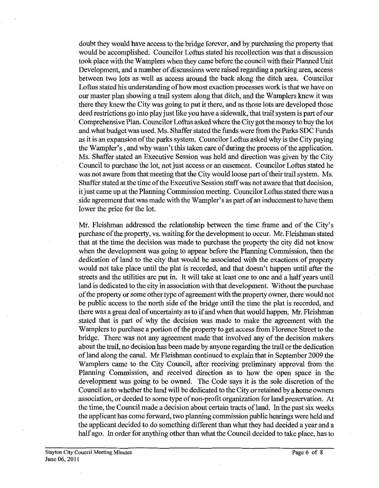doubt they would have access to the bridge forever, and by purchasing the property that would be accomplished. Councilor Loftus stated his recollection was that a discussion took place with the Wamplers when they came before the council with their Planned Unit Development, and a number of discussions were raised regarding a parking area, access between two lots as well as access around the back along the ditch area. Councilor Loftus stated his understanding of how most exaction processes work is that we have on our master plan showing a trail system along that ditch, and the Wamplers knew it was there they knew the City was going to put it there, and as those lots are developed those deed restrictions go into play just like you have a sidewalk, that trail system is part of our Comprehensive Plan. Councilor Loftus asked where the City got the money to buy the lot and what budget was used. Ms. Shaffer stated the funds were from the Parks SDC Funds as it is an expansion of the parks system. Councilor Loftus asked why is the City paying the Wampler's , and why wasn't this taken care of during the process of the application. Ms. Shaffer stated an Executive Session was held and direction was given by the City Council to purchase the lot, not just access or an easement. Councilor Loftus stated he was not aware from that meeting that the City would loose part of their trail system. Ms. Shaffer stated at the time of the Executive Session staff was not aware that that decision, it just came up at the Planning Commission meeting. Councilor Loftus stated there was a side agreement that was made with the Wampler's as part of an inducement to have them lower the price for the lot.

Mr. Fleishman addressed the relationship between the time frame and of the City's purchase of the property, vs. waiting for the development to occur. Mr. Fleishman stated that at the time the decision was made to purchase the property the city did not know when the development was going to appear before the Planning Commission, then the dedication of land to the city that would be associated with the exactions of property would not take place until the plat is recorded, and that doesn't happen until after the streets and the utilities are put in. It will take at least one to one and a half years until land is dedicated to the city in association with that development. Without the purchase of the property or some other type of agreement with the property owner, there would not be public access to the north side of the bridge until the time the plat is recorded, and there was a great deal of uncertainty as to if and when that would happen. Mr. Fleishman stated that is part of why the decision was made to make the agreement with the Wamplers to purchase a portion of the property to get access from Florence Street to the bridge. There was not any agreement made that involved any of the decision makers about the trail, no decision has been made by anyone regarding the trail or the dedication of land along the canal. Mr Fleishman continued to explain that in September 2009 the Wamplers came to the City Council, after receiving preliminary approval from the Planning Commission, and received direction as to how the open space in the development was going to be owned. The Code says it is the sole discretion of the Council as to whether the land will be dedicated to the City or retained by a home owners association, or deeded to some type of non-profit organization for land preservation. At the time, the Council made a decision about certain tracts of land. In the past six weeks the applicant has come forward, two planning commission public hearings were held and the applicant decided to do something different than what they had decided a year and a half ago. In order for anything other than what the Council decided to take place, has to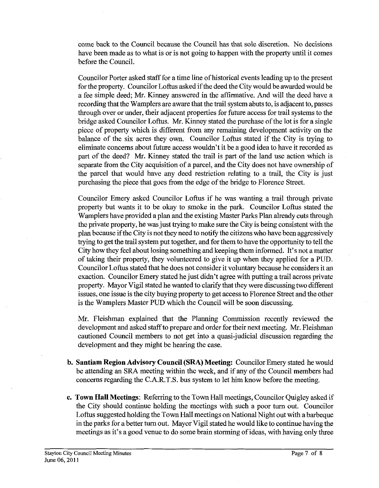come back to the Council because the Council has that sole discretion. No decisions have been made as to what is or is not going to happen with the property until it comes before the Council.

Councilor Porter asked staff for a time line of historical events leading up to the present for the property. Councilor Loftus asked if the deed the City would be awarded would be a fee simple deed; Mr. Kinney answered in the affirmative. And will the deed have a recording that the Wamplers are aware that the trail system abuts to, is adjacent to, passes through over or under, their adjacent properties for future access for trail systems to the bridge asked Councilor Loftus. Mr. Kinney stated the purchase of the lot is for a single piece of property which is different from any remaining development activity on the balance of the six acres they own. Councilor Loftus stated if the City is trying to eliminate concems about future access wouldn't it be a good idea to have it recorded as part of the deed? Mr. Kinney stated the trail is part of the land use action which is separate from the City acquisition of a parcel, and the City does not have ownership of the parcel that would have any deed restriction relating to a trail, the City is just purchasing the piece that goes from the edge of the bridge to Florence Street.

Councilor Emery asked Councilor Loftus if he was wanting a trail through private property but wants it to be okay to smoke in the park. Councilor Loftus stated the Wamplers have provided a plan and the existing Master Parks Plan already cuts through the private property, he was just trying to make sure the City is being consistent with the plan because if the City is not they need to notify the citizens who have been aggressively trying to get the trail system put together, and for them to have the opportunity to tell the City how they feel about losing something and keeping them informed. It's not a matter of taking their property, they volunteered to give it up when they applied for a PUD. Councilor Loftus stated that he does not consider it voluntary because he considers it an exaction. Councilor Emery stated he just didn't agree with putting a trail across private property. Mayor Vigil stated he wanted to clarify that they were discussing two different issues, one issue is the city buying property to get access to Florence Street and the other is the Wamplers Master PUD which the Council will be soon discussing.

Mr. Fleishman explained that the Planning Commission recently reviewed the development and asked staff to prepare and order for their next meeting. Mr. Fleishman cautioned Council members to not get into a quasi-judicial discussion regarding the development and they might be hearing the case.

- **b. Santiam Region Advisory Council (SRA) Meeting:** Councilor Emery stated he would be attending an SRA meeting within the week, and if any of the Council members had concems regarding the C.A.R.T.S. bus system to let him know before the meeting.
- **c. Town Hall Meetings:** Referring to the Town Hall meetings, Councilor Quigley asked if the City should continue holding the meetings with such a poor turn out. Councilor Loftus suggested holding the Town Hall meetings on National Night out with a barbeque in the parks for a better turn out. Mayor Vigil stated he would like to continue having the meetings as it's a good venue to do some brain storming of ideas, with having only three